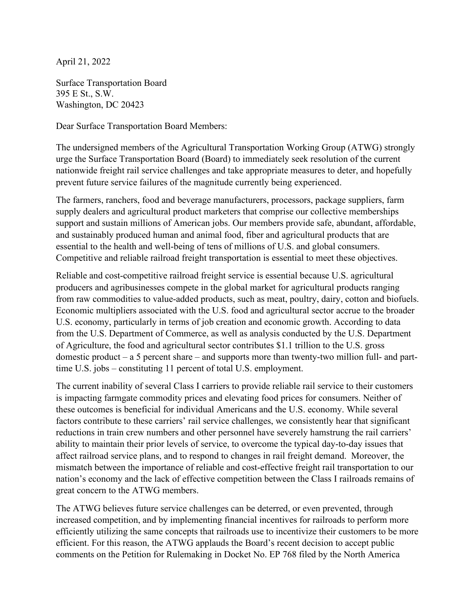April 21, 2022

Surface Transportation Board 395 E St., S.W. Washington, DC 20423

Dear Surface Transportation Board Members:

The undersigned members of the Agricultural Transportation Working Group (ATWG) strongly urge the Surface Transportation Board (Board) to immediately seek resolution of the current nationwide freight rail service challenges and take appropriate measures to deter, and hopefully prevent future service failures of the magnitude currently being experienced.

The farmers, ranchers, food and beverage manufacturers, processors, package suppliers, farm supply dealers and agricultural product marketers that comprise our collective memberships support and sustain millions of American jobs. Our members provide safe, abundant, affordable, and sustainably produced human and animal food, fiber and agricultural products that are essential to the health and well-being of tens of millions of U.S. and global consumers. Competitive and reliable railroad freight transportation is essential to meet these objectives.

Reliable and cost-competitive railroad freight service is essential because U.S. agricultural producers and agribusinesses compete in the global market for agricultural products ranging from raw commodities to value-added products, such as meat, poultry, dairy, cotton and biofuels. Economic multipliers associated with the U.S. food and agricultural sector accrue to the broader U.S. economy, particularly in terms of job creation and economic growth. According to data from the U.S. Department of Commerce, as well as analysis conducted by the U.S. Department of Agriculture, the food and agricultural sector contributes \$1.1 trillion to the U.S. gross domestic product – a 5 percent share – and supports more than twenty-two million full- and parttime U.S. jobs – constituting 11 percent of total U.S. employment.

The current inability of several Class I carriers to provide reliable rail service to their customers is impacting farmgate commodity prices and elevating food prices for consumers. Neither of these outcomes is beneficial for individual Americans and the U.S. economy. While several factors contribute to these carriers' rail service challenges, we consistently hear that significant reductions in train crew numbers and other personnel have severely hamstrung the rail carriers' ability to maintain their prior levels of service, to overcome the typical day-to-day issues that affect railroad service plans, and to respond to changes in rail freight demand. Moreover, the mismatch between the importance of reliable and cost-effective freight rail transportation to our nation's economy and the lack of effective competition between the Class I railroads remains of great concern to the ATWG members.

The ATWG believes future service challenges can be deterred, or even prevented, through increased competition, and by implementing financial incentives for railroads to perform more efficiently utilizing the same concepts that railroads use to incentivize their customers to be more efficient. For this reason, the ATWG applauds the Board's recent decision to accept public comments on the Petition for Rulemaking in Docket No. EP 768 filed by the North America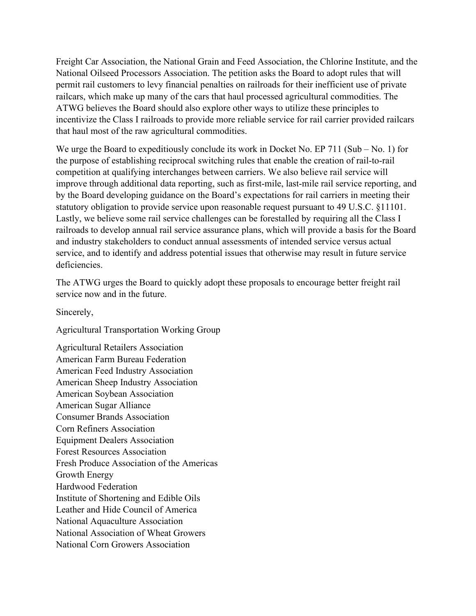Freight Car Association, the National Grain and Feed Association, the Chlorine Institute, and the National Oilseed Processors Association. The petition asks the Board to adopt rules that will permit rail customers to levy financial penalties on railroads for their inefficient use of private railcars, which make up many of the cars that haul processed agricultural commodities. The ATWG believes the Board should also explore other ways to utilize these principles to incentivize the Class I railroads to provide more reliable service for rail carrier provided railcars that haul most of the raw agricultural commodities.

We urge the Board to expeditiously conclude its work in Docket No. EP 711 (Sub – No. 1) for the purpose of establishing reciprocal switching rules that enable the creation of rail-to-rail competition at qualifying interchanges between carriers. We also believe rail service will improve through additional data reporting, such as first-mile, last-mile rail service reporting, and by the Board developing guidance on the Board's expectations for rail carriers in meeting their statutory obligation to provide service upon reasonable request pursuant to 49 U.S.C. §11101. Lastly, we believe some rail service challenges can be forestalled by requiring all the Class I railroads to develop annual rail service assurance plans, which will provide a basis for the Board and industry stakeholders to conduct annual assessments of intended service versus actual service, and to identify and address potential issues that otherwise may result in future service deficiencies.

The ATWG urges the Board to quickly adopt these proposals to encourage better freight rail service now and in the future.

Sincerely,

Agricultural Transportation Working Group

Agricultural Retailers Association American Farm Bureau Federation American Feed Industry Association American Sheep Industry Association American Soybean Association American Sugar Alliance Consumer Brands Association Corn Refiners Association Equipment Dealers Association Forest Resources Association Fresh Produce Association of the Americas Growth Energy Hardwood Federation Institute of Shortening and Edible Oils Leather and Hide Council of America National Aquaculture Association National Association of Wheat Growers National Corn Growers Association